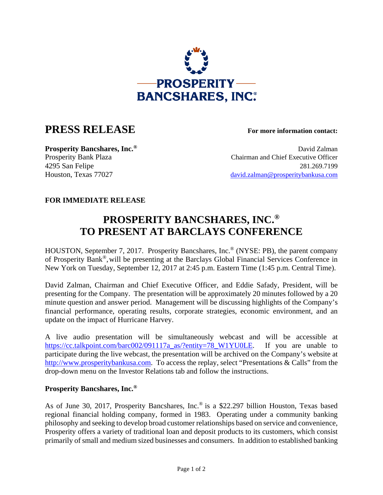

## **PRESS RELEASE For more information contact:**

**Prosperity Bancshares, Inc.<sup>®</sup> David Zalman** Prosperity Bank Plaza Chairman and Chief Executive Officer 4295 San Felipe 281.269.7199 Houston, Texas 77027 david.zalman@prosperitybankusa.com

## **FOR IMMEDIATE RELEASE**

## **PROSPERITY BANCSHARES, INC.® TO PRESENT AT BARCLAYS CONFERENCE**

HOUSTON, September 7, 2017. Prosperity Bancshares, Inc.® (NYSE: PB), the parent company of Prosperity Bank®,will be presenting at the Barclays Global Financial Services Conference in New York on Tuesday, September 12, 2017 at 2:45 p.m. Eastern Time (1:45 p.m. Central Time).

David Zalman, Chairman and Chief Executive Officer, and Eddie Safady, President, will be presenting for the Company. The presentation will be approximately 20 minutes followed by a 20 minute question and answer period. Management will be discussing highlights of the Company's financial performance, operating results, corporate strategies, economic environment, and an update on the impact of Hurricane Harvey.

A live audio presentation will be simultaneously webcast and will be accessible at https://cc.talkpoint.com/barc002/091117a\_as/?entity=78\_W1YU0LE. If you are unable to participate during the live webcast, the presentation will be archived on the Company's website at http://www.prosperitybankusa.com. To access the replay, select "Presentations & Calls" from the drop-down menu on the Investor Relations tab and follow the instructions.

## **Prosperity Bancshares, Inc.®**

As of June 30, 2017, Prosperity Bancshares, Inc.® is a \$22.297 billion Houston, Texas based regional financial holding company, formed in 1983. Operating under a community banking philosophy and seeking to develop broad customer relationships based on service and convenience, Prosperity offers a variety of traditional loan and deposit products to its customers, which consist primarily of small and medium sized businesses and consumers. In addition to established banking